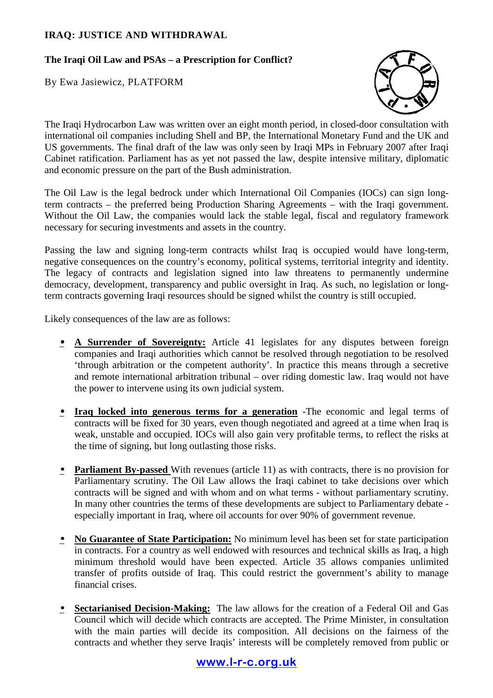# **IRAQ: JUSTICE AND WITHDRAWAL**

# **The Iraqi Oil Law and PSAs – a Prescription for Conflict?**

By Ewa Jasiewicz, PLATFORM



The Iraqi Hydrocarbon Law was written over an eight month period, in closed-door consultation with international oil companies including Shell and BP, the International Monetary Fund and the UK and US governments. The final draft of the law was only seen by Iraqi MPs in February 2007 after Iraqi Cabinet ratification. Parliament has as yet not passed the law, despite intensive military, diplomatic and economic pressure on the part of the Bush administration.

The Oil Law is the legal bedrock under which International Oil Companies (IOCs) can sign longterm contracts – the preferred being Production Sharing Agreements – with the Iraqi government. Without the Oil Law, the companies would lack the stable legal, fiscal and regulatory framework necessary for securing investments and assets in the country.

Passing the law and signing long-term contracts whilst Iraq is occupied would have long-term, negative consequences on the country's economy, political systems, territorial integrity and identity. The legacy of contracts and legislation signed into law threatens to permanently undermine democracy, development, transparency and public oversight in Iraq. As such, no legislation or longterm contracts governing Iraqi resources should be signed whilst the country is still occupied.

Likely consequences of the law are as follows:

- **A Surrender of Sovereignty:** Article 41 legislates for any disputes between foreign companies and Iraqi authorities which cannot be resolved through negotiation to be resolved 'through arbitration or the competent authority'. In practice this means through a secretive and remote international arbitration tribunal – over riding domestic law. Iraq would not have the power to intervene using its own judicial system.
- **Iraq locked into generous terms for a generation** -The economic and legal terms of contracts will be fixed for 30 years, even though negotiated and agreed at a time when Iraq is weak, unstable and occupied. IOCs will also gain very profitable terms, to reflect the risks at the time of signing, but long outlasting those risks.
- **Parliament By-passed** With revenues (article 11) as with contracts, there is no provision for Parliamentary scrutiny. The Oil Law allows the Iraqi cabinet to take decisions over which contracts will be signed and with whom and on what terms - without parliamentary scrutiny. In many other countries the terms of these developments are subject to Parliamentary debate especially important in Iraq, where oil accounts for over 90% of government revenue.
- **No Guarantee of State Participation:** No minimum level has been set for state participation in contracts. For a country as well endowed with resources and technical skills as Iraq, a high minimum threshold would have been expected. Article 35 allows companies unlimited transfer of profits outside of Iraq. This could restrict the government's ability to manage financial crises.
- **Sectarianised Decision-Making:** The law allows for the creation of a Federal Oil and Gas Council which will decide which contracts are accepted. The Prime Minister, in consultation with the main parties will decide its composition. All decisions on the fairness of the contracts and whether they serve Iraqis' interests will be completely removed from public or